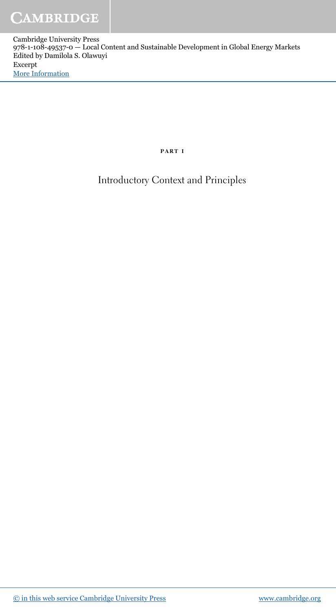## part i

Introductory Context and Principles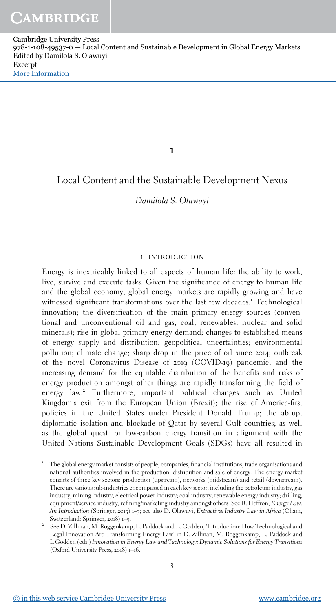1

# Local Content and the Sustainable Development Nexus

# Damilola S. Olawuyi

#### 1 introduction

Energy is inextricably linked to all aspects of human life: the ability to work, live, survive and execute tasks. Given the significance of energy to human life and the global economy, global energy markets are rapidly growing and have witnessed significant transformations over the last few decades.<sup>1</sup> Technological innovation; the diversification of the main primary energy sources (conventional and unconventional oil and gas, coal, renewables, nuclear and solid minerals); rise in global primary energy demand; changes to established means of energy supply and distribution; geopolitical uncertainties; environmental pollution; climate change; sharp drop in the price of oil since 2014; outbreak of the novel Coronavirus Disease of 2019 (COVID-19) pandemic; and the increasing demand for the equitable distribution of the benefits and risks of energy production amongst other things are rapidly transforming the field of energy law.<sup>2</sup> Furthermore, important political changes such as United Kingdom's exit from the European Union (Brexit); the rise of America-first policies in the United States under President Donald Trump; the abrupt diplomatic isolation and blockade of Qatar by several Gulf countries; as well as the global quest for low-carbon energy transition in alignment with the United Nations Sustainable Development Goals (SDGs) have all resulted in

<sup>&</sup>lt;sup>1</sup> The global energy market consists of people, companies, financial institutions, trade organisations and national authorities involved in the production, distribution and sale of energy. The energy market consists of three key sectors: production (upstream), networks (midstream) and retail (downstream). There are various sub-industries encompassed in each key sector, including the petroleum industry, gas industry; mining industry, electrical power industry; coal industry; renewable energy industry; drilling, equipment/service industry; refining/marketing industry amongst others. See R. Heffron, Energy Law: An Introduction (Springer, 2015) 1–3; see also D. Olawuyi, Extractives Industry Law in Africa (Cham, Switzerland: Springer, 2018) 1–5.

<sup>2</sup> See D. Zillman, M. Roggenkamp, L. Paddock and L. Godden, 'Introduction: How Technological and Legal Innovation Are Transforming Energy Law' in D. Zillman, M. Roggenkamp, L. Paddock and L Godden (eds.) Innovation in Energy Law and Technology: Dynamic Solutions for Energy Transitions (Oxford University Press, 2018) 1–16.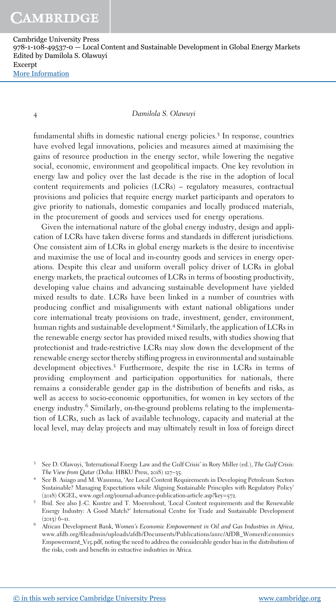4 Damilola S. Olawuyi

fundamental shifts in domestic national energy policies.<sup>3</sup> In response, countries have evolved legal innovations, policies and measures aimed at maximising the gains of resource production in the energy sector, while lowering the negative social, economic, environment and geopolitical impacts. One key revolution in energy law and policy over the last decade is the rise in the adoption of local content requirements and policies (LCRs) – regulatory measures, contractual provisions and policies that require energy market participants and operators to give priority to nationals, domestic companies and locally produced materials, in the procurement of goods and services used for energy operations.

Given the international nature of the global energy industry, design and application of LCRs have taken diverse forms and standards in different jurisdictions. One consistent aim of LCRs in global energy markets is the desire to incentivise and maximise the use of local and in-country goods and services in energy operations. Despite this clear and uniform overall policy driver of LCRs in global energy markets, the practical outcomes of LCRs in terms of boosting productivity, developing value chains and advancing sustainable development have yielded mixed results to date. LCRs have been linked in a number of countries with producing conflict and misalignments with extant national obligations under core international treaty provisions on trade, investment, gender, environment, human rights and sustainable development.<sup>4</sup> Similarly, the application of LCRs in the renewable energy sector has provided mixed results, with studies showing that protectionist and trade-restrictive LCRs may slow down the development of the renewable energy sector thereby stifling progress in environmental and sustainable development objectives.<sup>5</sup> Furthermore, despite the rise in LCRs in terms of providing employment and participation opportunities for nationals, there remains a considerable gender gap in the distribution of benefits and risks, as well as access to socio-economic opportunities, for women in key sectors of the energy industry.<sup>6</sup> Similarly, on-the-ground problems relating to the implementation of LCRs, such as lack of available technology, capacity and material at the local level, may delay projects and may ultimately result in loss of foreign direct

<sup>&</sup>lt;sup>3</sup> See D. Olawuyi, 'International Energy Law and the Gulf Crisis' in Rory Miller (ed.), The Gulf Crisis: The View from Qatar (Doha: HBKU Press, 2018) 127–35.

<sup>4</sup> See B. Asiago and M. Wasunna, 'Are Local Content Requirements in Developing Petroleum Sectors Sustainable? Managing Expectations while Aligning Sustainable Principles with Regulatory Policy' (2018) OGEL, www.ogel.org/journal-advance-publication-article.asp?key=572.

<sup>&</sup>lt;sup>5</sup> Ibid. See also J.-C. Kuntze and T. Moerenhout, 'Local Content requirements and the Renewable Energy Industry: A Good Match?' International Centre for Trade and Sustainable Development

<sup>(</sup>2013) 6–11. 6 African Development Bank, Women's Economic Empowerment in Oil and Gas Industries in Africa, www.afdb.org/fileadmin/uploads/afdb/Documents/Publications/anrc/AfDB\_WomenEconomics Empowerment\_V15.pdf, noting the need to address the considerable gender bias in the distribution of the risks, costs and benefits in extractive industries in Africa.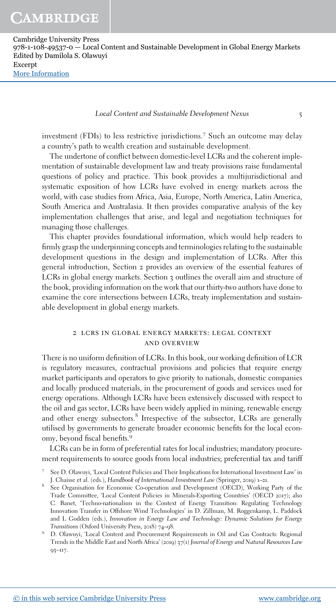## Local Content and Sustainable Development Nexus 5

investment (FDIs) to less restrictive jurisdictions.<sup>7</sup> Such an outcome may delay a country's path to wealth creation and sustainable development.

The undertone of conflict between domestic-level LCRs and the coherent implementation of sustainable development law and treaty provisions raise fundamental questions of policy and practice. This book provides a multijurisdictional and systematic exposition of how LCRs have evolved in energy markets across the world, with case studies from Africa, Asia, Europe, North America, Latin America, South America and Australasia. It then provides comparative analysis of the key implementation challenges that arise, and legal and negotiation techniques for managing those challenges.

This chapter provides foundational information, which would help readers to firmly grasp the underpinning concepts and terminologies relating to the sustainable development questions in the design and implementation of LCRs. After this general introduction, Section 2 provides an overview of the essential features of LCRs in global energy markets. Section 3 outlines the overall aim and structure of the book, providing information on the work that our thirty-two authors have done to examine the core intersections between LCRs, treaty implementation and sustainable development in global energy markets.

### 2 lcrs in global energy markets: legal context and overview

There is no uniform definition of LCRs. In this book, our working definition of LCR is regulatory measures, contractual provisions and policies that require energy market participants and operators to give priority to nationals, domestic companies and locally produced materials, in the procurement of goods and services used for energy operations. Although LCRs have been extensively discussed with respect to the oil and gas sector, LCRs have been widely applied in mining, renewable energy and other energy subsectors.<sup>8</sup> Irrespective of the subsector, LCRs are generally utilised by governments to generate broader economic benefits for the local economy, beyond fiscal benefits.<sup>9</sup>

LCRs can be in form of preferential rates for local industries; mandatory procurement requirements to source goods from local industries; preferential tax and tariff

<sup>7</sup> See D. Olawuyi, 'Local Content Policies and Their Implications for International Investment Law' in J. Chaisse et al. (eds.), Handbook of International Investment Law (Springer, 2019) 1–21.

<sup>&</sup>lt;sup>8</sup> See Organisation for Economic Co-operation and Development (OECD), Working Party of the Trade Committee, 'Local Content Policies in Minerals-Exporting Countries' (OECD 2017); also C. Banet, 'Techno-nationalism in the Context of Energy Transition: Regulating Technology Innovation Transfer in Offshore Wind Technologies' in D. Zillman, M. Roggenkamp, L. Paddock and L Godden (eds.), Innovation in Energy Law and Technology: Dynamic Solutions for Energy Transitions (Oxford University Press, 2018) 74–98.

<sup>9</sup> D. Olawuyi, 'Local Content and Procurement Requirements in Oil and Gas Contracts: Regional Trends in the Middle East and North Africa' (2019) 37(1) Journal of Energy and Natural Resources Law 93–117.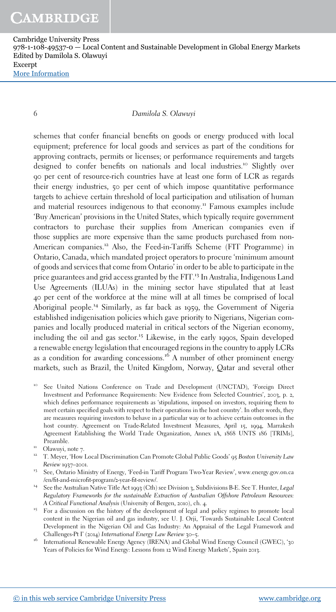6 Damilola S. Olawuyi

schemes that confer financial benefits on goods or energy produced with local equipment; preference for local goods and services as part of the conditions for approving contracts, permits or licenses; or performance requirements and targets designed to confer benefits on nationals and local industries.<sup>10</sup> Slightly over 90 per cent of resource-rich countries have at least one form of LCR as regards their energy industries, 50 per cent of which impose quantitative performance targets to achieve certain threshold of local participation and utilisation of human and material resources indigenous to that economy.<sup>11</sup> Famous examples include 'Buy American' provisions in the United States, which typically require government contractors to purchase their supplies from American companies even if those supplies are more expensive than the same products purchased from non-American companies.<sup>12</sup> Also, the Feed-in-Tariffs Scheme (FIT Programme) in Ontario, Canada, which mandated project operators to procure 'minimum amount of goods and services that come from Ontario' in order to be able to participate in the price guarantees and grid access granted by the FIT.<sup>13</sup> In Australia, Indigenous Land Use Agreements (ILUAs) in the mining sector have stipulated that at least 40 per cent of the workforce at the mine will at all times be comprised of local Aboriginal people.<sup>14</sup> Similarly, as far back as 1959, the Government of Nigeria established indigenisation policies which gave priority to Nigerians, Nigerian companies and locally produced material in critical sectors of the Nigerian economy, including the oil and gas sector.<sup>15</sup> Likewise, in the early 1990s, Spain developed a renewable energy legislation that encouraged regions in the country to apply LCRs as a condition for awarding concessions.<sup>16</sup> A number of other prominent energy markets, such as Brazil, the United Kingdom, Norway, Qatar and several other

- See United Nations Conference on Trade and Development (UNCTAD), 'Foreign Direct Investment and Performance Requirements: New Evidence from Selected Countries', 2003, p. 2, which defines performance requirements as 'stipulations, imposed on investors, requiring them to meet certain specified goals with respect to their operations in the host country'. In other words, they are measures requiring investors to behave in a particular way or to achieve certain outcomes in the host country. Agreement on Trade-Related Investment Measures, April 15, 1994, Marrakesh Agreement Establishing the World Trade Organization, Annex 1A, 1868 UNTS 186 [TRIMs], Preamble.
- <sup>11</sup> Olawuyi, note 7.
- <sup>12</sup> T. Meyer, 'How Local Discrimination Can Promote Global Public Goods' 95 Boston University Law Review 1937–2001.
- <sup>13</sup> See, Ontario Ministry of Energy, 'Feed-in Tariff Program Two-Year Review', www.energy.gov.on.ca /en/fit-and-microfit-program/2-year-fit-review/.
- <sup>14</sup> See the Australian Native Title Act 1993 (Cth) see Division 3, Subdivisions B-E. See T. Hunter, Legal Regulatory Frameworks for the sustainable Extraction of Australian Offshore Petroleum Resources: A Critical Functional Analysis (University of Bergen, 2010), ch. 4.
- <sup>15</sup> For a discussion on the history of the development of legal and policy regimes to promote local content in the Nigerian oil and gas industry, see U. J. Orji, 'Towards Sustainable Local Content Development in the Nigerian Oil and Gas Industry: An Appraisal of the Legal Framework and Challenges-Pt I' (2014) International Energy Law Review 30–5.
- <sup>16</sup> International Renewable Energy Agency (IRENA) and Global Wind Energy Council (GWEC), '30 Years of Policies for Wind Energy: Lessons from 12 Wind Energy Markets', Spain 2013.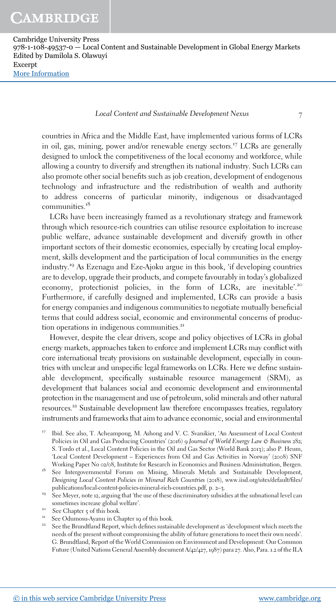Local Content and Sustainable Development Nexus 7

countries in Africa and the Middle East, have implemented various forms of LCRs in oil, gas, mining, power and/or renewable energy sectors.<sup>17</sup> LCRs are generally designed to unlock the competitiveness of the local economy and workforce, while allowing a country to diversify and strengthen its national industry. Such LCRs can also promote other social benefits such as job creation, development of endogenous technology and infrastructure and the redistribution of wealth and authority to address concerns of particular minority, indigenous or disadvantaged communities.<sup>18</sup>

LCRs have been increasingly framed as a revolutionary strategy and framework through which resource-rich countries can utilise resource exploitation to increase public welfare, advance sustainable development and diversify growth in other important sectors of their domestic economies, especially by creating local employment, skills development and the participation of local communities in the energy industry.<sup>19</sup> As Ezenagu and Eze-Ajoku argue in this book, 'if developing countries are to develop, upgrade their products, and compete favourably in today's globalized economy, protectionist policies, in the form of LCRs, are inevitable'.<sup>20</sup> Furthermore, if carefully designed and implemented, LCRs can provide a basis for energy companies and indigenous communities to negotiate mutually beneficial terms that could address social, economic and environmental concerns of production operations in indigenous communities.<sup>21</sup>

However, despite the clear drivers, scope and policy objectives of LCRs in global energy markets, approaches taken to enforce and implement LCRs may conflict with core international treaty provisions on sustainable development, especially in countries with unclear and unspecific legal frameworks on LCRs. Here we define sustainable development, specifically sustainable resource management (SRM), as development that balances social and economic development and environmental protection in the management and use of petroleum, solid minerals and other natural resources. <sup>22</sup> Sustainable development law therefore encompasses treaties, regulatory instruments and frameworks that aim to advance economic, social and environmental

- <sup>17</sup> Ibid. See also, T. Acheampong, M. Ashong and V. C. Svanikier, 'An Assessment of Local Content Policies in Oil and Gas Producing Countries' (2016) 9 Journal of World Energy Law & Business 282; S. Tordo et al., Local Content Policies in the Oil and Gas Sector (World Bank 2013); also P. Heum, 'Local Content Development – Experiences from Oil and Gas Activities in Norway' (2008) SNF Working Paper No 02/08, Institute for Research in Economics and Business Administration, Bergen.
- <sup>18</sup> See Intergovernmental Forum on Mining, Minerals Metals and Sustainable Development, Designing Local Content Policies in Mineral Rich Countries (2018), www.iisd.org/sites/default/files/ publications/local-content-policies-mineral-rich-countries.pdf, p. 2–3.
- <sup>19</sup> See Meyer, note 12, arguing that 'the use of these discriminatory subsidies at the subnational level can sometimes increase global welfare'.
- <sup>20</sup> See Chapter 5 of this book.
- See Odumosu-Ayanu in Chapter 19 of this book.
- See the Brundtland Report, which defines sustainable development as 'development which meets the needs of the present without compromising the ability of future generations to meet their own needs'. G. Brundtland, Report of the World Commission on Environment and Development: Our Common Future (United Nations General Assembly document A/42/427, 1987) para 27. Also, Para. 1.2 of the ILA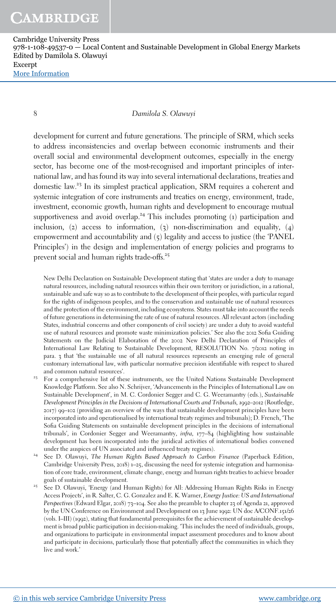8 Damilola S. Olawuyi

development for current and future generations. The principle of SRM, which seeks to address inconsistencies and overlap between economic instruments and their overall social and environmental development outcomes, especially in the energy sector, has become one of the most-recognised and important principles of international law, and has found its way into several international declarations, treaties and domestic law.<sup>23</sup> In its simplest practical application, SRM requires a coherent and systemic integration of core instruments and treaties on energy, environment, trade, investment, economic growth, human rights and development to encourage mutual supportiveness and avoid overlap.<sup>24</sup> This includes promoting  $(i)$  participation and inclusion, (2) access to information, (3) non-discrimination and equality,  $(4)$ empowerment and accountability and (5) legality and access to justice (the 'PANEL Principles') in the design and implementation of energy policies and programs to prevent social and human rights trade-offs.<sup>25</sup>

New Delhi Declaration on Sustainable Development stating that 'states are under a duty to manage natural resources, including natural resources within their own territory or jurisdiction, in a rational, sustainable and safe way so as to contribute to the development of their peoples, with particular regard for the rights of indigenous peoples, and to the conservation and sustainable use of natural resources and the protection of the environment, including ecosystems. States must take into account the needs of future generations in determining the rate of use of natural resources. All relevant actors (including States, industrial concerns and other components of civil society) are under a duty to avoid wasteful use of natural resources and promote waste minimization policies.' See also the 2012 Sofia Guiding Statements on the Judicial Elaboration of the 2002 New Delhi Declaration of Principles of International Law Relating to Sustainable Development, RESOLUTION No. 7/2012 noting in para. 3 that 'the sustainable use of all natural resources represents an emerging rule of general customary international law, with particular normative precision identifiable with respect to shared and common natural resources'.

- <sup>23</sup> For a comprehensive list of these instruments, see the United Nations Sustainable Development Knowledge Platform. See also N. Schrijver, 'Advancements in the Principles of International Law on Sustainable Development', in M. C. Cordonier Segger and C. G. Weeramantry (eds.), Sustainable Development Principles in the Decisions of International Courts and Tribunals, 1992–2012 (Routledge, 2017) 99–102 (providing an overview of the ways that sustainable development principles have been incorporated into and operationalised by international treaty regimes and tribunals); D. French, 'The Sofia Guiding Statements on sustainable development principles in the decisions of international tribunals', in Cordonier Segger and Weeramantry, infra, 177–84 (highlighting how sustainable development has been incorporated into the juridical activities of international bodies convened under the auspices of UN associated and influenced treaty regimes).
- <sup>24</sup> See D. Olawuyi, The Human Rights Based Approach to Carbon Finance (Paperback Edition, Cambridge University Press, 2018) 1–25, discussing the need for systemic integration and harmonisation of core trade, environment, climate change, energy and human rights treaties to achieve broader goals of sustainable development.
- <sup>25</sup> See D. Olawuyi, 'Energy (and Human Rights) for All: Addressing Human Rights Risks in Energy Access Projects', in R. Salter, C. G. Gonzalez and E. K. Warner, Energy Justice: US and International Perspectives (Edward Elgar, 2018) 73–104. See also the preamble to chapter 23 of Agenda 21, approved by the UN Conference on Environment and Development on 13 June 1992: UN doc A/CONF.151/26 (vols. I–III) (1992), stating that fundamental prerequisites for the achievement of sustainable development is broad public participation in decision-making. 'This includes the need of individuals, groups, and organizations to participate in environmental impact assessment procedures and to know about and participate in decisions, particularly those that potentially affect the communities in which they live and work.'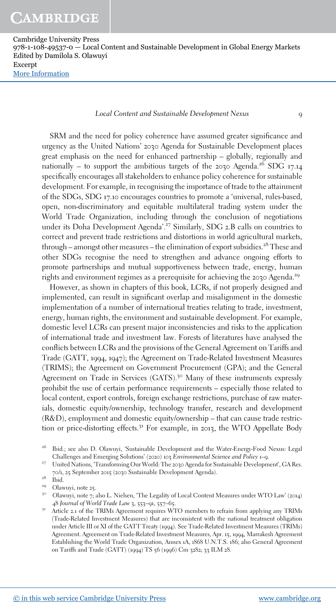Local Content and Sustainable Development Nexus 9

SRM and the need for policy coherence have assumed greater significance and urgency as the United Nations' 2030 Agenda for Sustainable Development places great emphasis on the need for enhanced partnership – globally, regionally and nationally – to support the ambitious targets of the 2030 Agenda.<sup>26</sup> SDG 17.14 specifically encourages all stakeholders to enhance policy coherence for sustainable development. For example, in recognising the importance of trade to the attainment of the SDGs, SDG 17.10 encourages countries to promote a 'universal, rules-based, open, non-discriminatory and equitable multilateral trading system under the World Trade Organization, including through the conclusion of negotiations under its Doha Development Agenda'.<sup>27</sup> Similarly, SDG 2.B calls on countries to correct and prevent trade restrictions and distortions in world agricultural markets, through – amongst other measures – the elimination of export subsidies.<sup>28</sup> These and other SDGs recognise the need to strengthen and advance ongoing efforts to promote partnerships and mutual supportiveness between trade, energy, human rights and environment regimes as a prerequisite for achieving the 2030 Agenda.<sup>29</sup>

However, as shown in chapters of this book, LCRs, if not properly designed and implemented, can result in significant overlap and misalignment in the domestic implementation of a number of international treaties relating to trade, investment, energy, human rights, the environment and sustainable development. For example, domestic level LCRs can present major inconsistencies and risks to the application of international trade and investment law. Forests of literatures have analysed the conflicts between LCRs and the provisions of the General Agreement on Tariffs and Trade (GATT, 1994, 1947); the Agreement on Trade-Related Investment Measures (TRIMS); the Agreement on Government Procurement (GPA); and the General Agreement on Trade in Services (GATS).<sup>30</sup> Many of these instruments expressly prohibit the use of certain performance requirements – especially those related to local content, export controls, foreign exchange restrictions, purchase of raw materials, domestic equity/ownership, technology transfer, research and development (R&D), employment and domestic equity/ownership – that can cause trade restriction or price-distorting effects.<sup>31</sup> For example, in 2013, the WTO Appellate Body

<sup>29</sup> Olawuyi, note 25.

<sup>&</sup>lt;sup>26</sup> Ibid.; see also D. Olawuyi, 'Sustainable Development and the Water-Energy-Food Nexus: Legal Challenges and Emerging Solutions' (2020) 103 Environmental Science and Policy 1–9.

<sup>&</sup>lt;sup>27</sup> United Nations, 'Transforming Our World: The 2030 Agenda for Sustainable Development', GA Res. 70/1, 25 September 2015 (2030 Sustainable Development Agenda).

 $^{\mbox{{\scriptsize 28}}}$   $\mbox{{\scriptsize 1}}$  ibid.

<sup>&</sup>lt;sup>30</sup> Olawuyi, note 7; also L. Nielsen, 'The Legality of Local Content Measures under WTO Law' (2014) 48 Journal of World Trade Law 3, 553–91, 557–65.

<sup>&</sup>lt;sup>31</sup> Article 2.1 of the TRIMs Agreement requires WTO members to refrain from applying any TRIMs (Trade-Related Investment Measures) that are inconsistent with the national treatment obligation under Article III or XI of the GATT Treaty (1994). See Trade-Related Investment Measures (TRIMs) Agreement. Agreement on Trade-Related Investment Measures, Apr. 15, 1994, Marrakesh Agreement Establishing the World Trade Organization, Annex 1A, 1868 U.N.T.S. 186; also General Agreement on Tariffs and Trade (GATT) (1994) TS 56 (1996) Cm 3282; 33 ILM 28.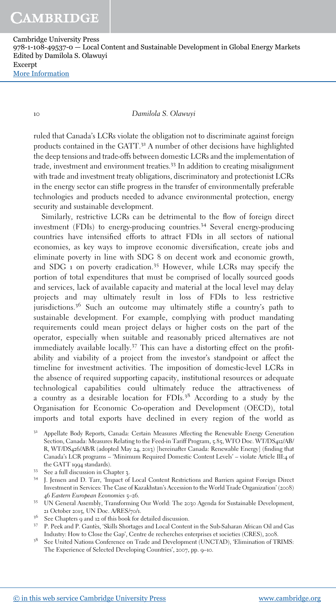#### 10 Damilola S. Olawuyi

ruled that Canada's LCRs violate the obligation not to discriminate against foreign products contained in the GATT.<sup>32</sup> A number of other decisions have highlighted the deep tensions and trade-offs between domestic LCRs and the implementation of trade, investment and environment treaties.<sup>33</sup> In addition to creating misalignment with trade and investment treaty obligations, discriminatory and protectionist LCRs in the energy sector can stifle progress in the transfer of environmentally preferable technologies and products needed to advance environmental protection, energy security and sustainable development.

Similarly, restrictive LCRs can be detrimental to the flow of foreign direct investment (FDIs) to energy-producing countries.<sup>34</sup> Several energy-producing countries have intensified efforts to attract FDIs in all sectors of national economies, as key ways to improve economic diversification, create jobs and eliminate poverty in line with SDG 8 on decent work and economic growth, and SDG 1 on poverty eradication.<sup>35</sup> However, while LCRs may specify the portion of total expenditures that must be comprised of locally sourced goods and services, lack of available capacity and material at the local level may delay projects and may ultimately result in loss of FDIs to less restrictive iurisdictions.<sup>36</sup> Such an outcome may ultimately stifle a country's path to sustainable development. For example, complying with product mandating requirements could mean project delays or higher costs on the part of the operator, especially when suitable and reasonably priced alternatives are not immediately available locally.<sup>37</sup> This can have a distorting effect on the profitability and viability of a project from the investor's standpoint or affect the timeline for investment activities. The imposition of domestic-level LCRs in the absence of required supporting capacity, institutional resources or adequate technological capabilities could ultimately reduce the attractiveness of a country as a desirable location for  $FDIs.<sup>38</sup>$  According to a study by the Organisation for Economic Co-operation and Development (OECD), total imports and total exports have declined in every region of the world as

Appellate Body Reports, Canada: Certain Measures Affecting the Renewable Energy Generation Section, Canada: Measures Relating to the Feed-in Tariff Program, 5.85, WTO Doc. WT/DS412/AB/ R, WT/DS426/AB/R (adopted May 24, 2013) [hereinafter Canada: Renewable Energy] (finding that Canada's LCR programs – 'Minimum Required Domestic Content Levels' – violate Article III:4 of the GATT 1994 standards).

<sup>33</sup> See a full discussion in Chapter 3.

- <sup>34</sup> J. Jensen and D. Tarr, 'Impact of Local Content Restrictions and Barriers against Foreign Direct Investment in Services: The Case of Kazakhstan's Accession to the World Trade Organization' (2008) 46 Eastern European Economics 5–26.
- <sup>35</sup> UN General Assembly, Transforming Our World: The 2030 Agenda for Sustainable Development, 21 October 2015, UN Doc. A/RES/70/1.
- <sup>36</sup> See Chapters 9 and 12 of this book for detailed discussion.
- <sup>37</sup> P. Peek and P. Gantès, 'Skills Shortages and Local Content in the Sub-Saharan African Oil and Gas Industry: How to Close the Gap', Centre de recherches enterprises et societies (CRES), 2008.
- <sup>38</sup> See United Nations Conference on Trade and Development (UNCTAD), 'Elimination of TRIMS: The Experience of Selected Developing Countries', 2007, pp. 9–10.